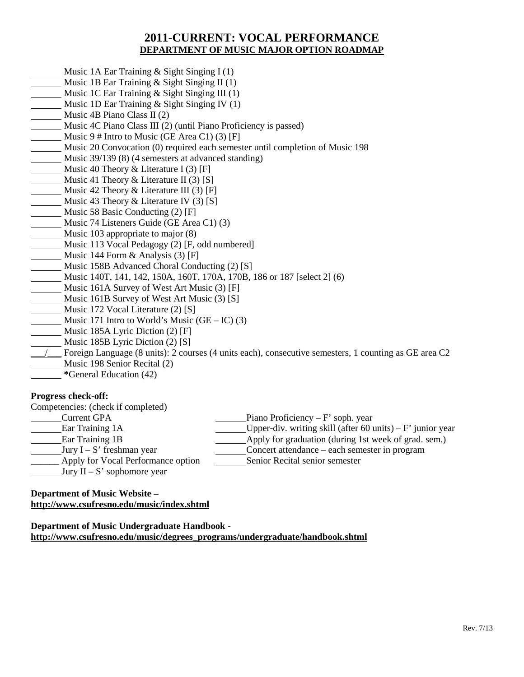# **2011-CURRENT: VOCAL PERFORMANCE DEPARTMENT OF MUSIC MAJOR OPTION ROADMAP**

- Music 1A Ear Training & Sight Singing I (1)
- Music 1B Ear Training & Sight Singing II (1)
- Music 1C Ear Training & Sight Singing III (1)
- Music 1D Ear Training & Sight Singing IV (1)
- Music 4B Piano Class II (2)
- Music 4C Piano Class III (2) (until Piano Proficiency is passed)
- Music  $9 \#$  Intro to Music (GE Area C1) (3) [F]
- Music 20 Convocation (0) required each semester until completion of Music 198
- Music 39/139 (8) (4 semesters at advanced standing)
- Music 40 Theory  $&$  Literature I (3) [F]
- Music 41 Theory & Literature II  $(3)$  [S]
- Music 42 Theory & Literature III (3) [F]
- Music 43 Theory & Literature IV (3) [S]
- Music 58 Basic Conducting (2) [F]
- Music 74 Listeners Guide (GE Area C1) (3)
- Music 103 appropriate to major (8)
- Music 113 Vocal Pedagogy (2) [F, odd numbered]
- Music 144 Form & Analysis (3) [F]
- Music 158B Advanced Choral Conducting (2) [S]
- Music 140T, 141, 142, 150A, 160T, 170A, 170B, 186 or 187 [select 2] (6)
- Music 161A Survey of West Art Music (3) [F]
- Music 161B Survey of West Art Music (3) [S]
- Music 172 Vocal Literature (2) [S]
- Music 171 Intro to World's Music  $(GE IC)$  (3)
- Music 185A Lyric Diction (2) [F]
- Music 185B Lyric Diction (2) [S]
- \_\_\_/\_\_\_ Foreign Language (8 units): 2 courses (4 units each), consecutive semesters, 1 counting as GE area C2 Music 198 Senior Recital (2)
- **\***General Education (42)

### **Progress check-off:**

| Competencies: (check if completed) |                                                              |
|------------------------------------|--------------------------------------------------------------|
| <b>Current GPA</b>                 | Piano Proficiency – $F'$ soph. year                          |
| Ear Training 1A                    | Upper-div. writing skill (after 60 units) – $F'$ junior year |
| Ear Training 1B                    | Apply for graduation (during 1st week of grad. sem.)         |
| Jury $I - S'$ freshman year        | Concert attendance – each semester in program                |
| Apply for Vocal Performance option | Senior Recital senior semester                               |
| Jury $II - S'$ sophomore year      |                                                              |

#### **Department of Music Website – <http://www.csufresno.edu/music/index.shtml>**

### **Department of Music Undergraduate Handbook http://www.csufresno.edu/music/degrees\_programs/undergraduate/handbook.shtml**